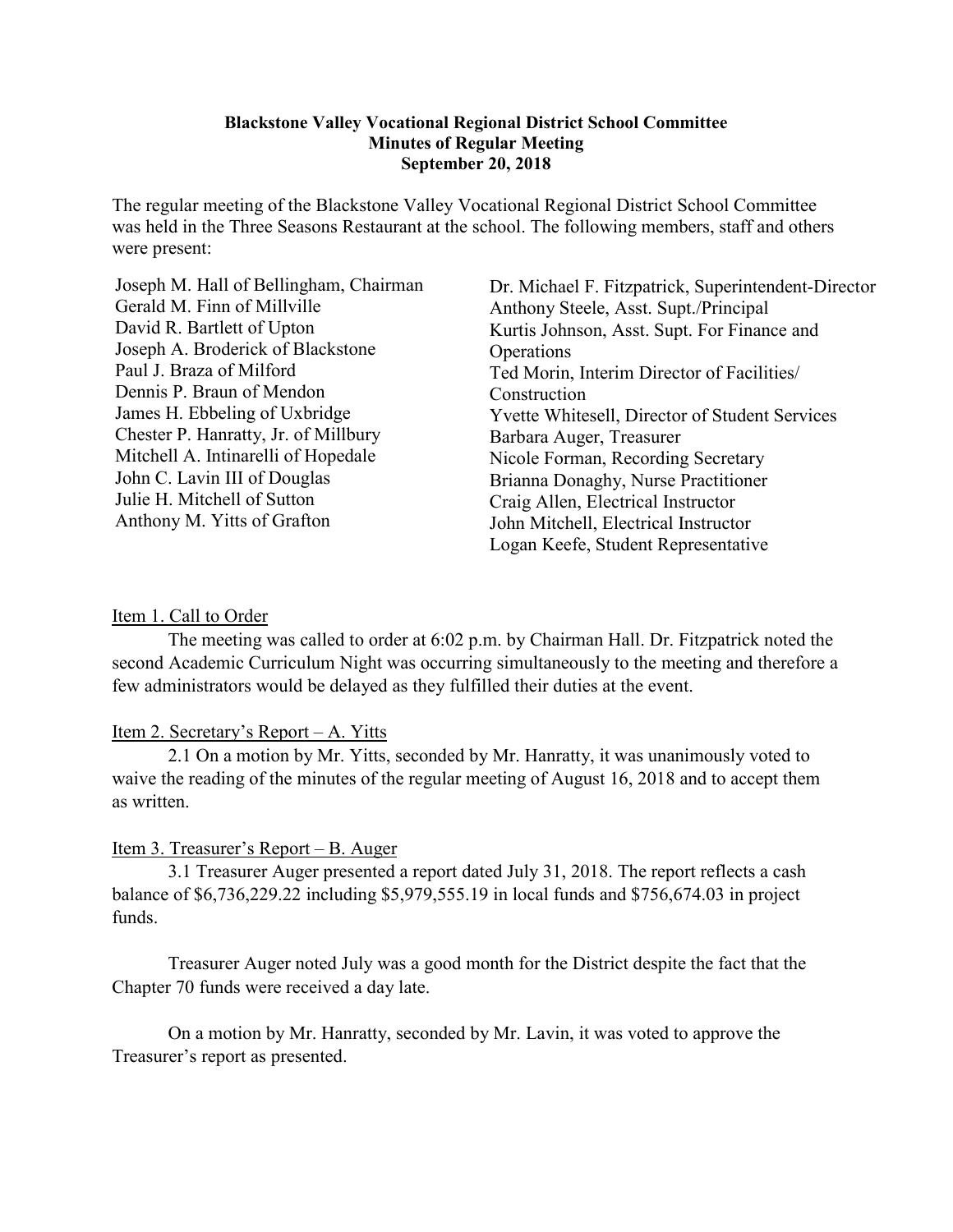#### **Blackstone Valley Vocational Regional District School Committee Minutes of Regular Meeting September 20, 2018**

The regular meeting of the Blackstone Valley Vocational Regional District School Committee was held in the Three Seasons Restaurant at the school. The following members, staff and others were present:

Joseph M. Hall of Bellingham, Chairman Gerald M. Finn of Millville David R. Bartlett of Upton Joseph A. Broderick of Blackstone Paul J. Braza of Milford Dennis P. Braun of Mendon James H. Ebbeling of Uxbridge Chester P. Hanratty, Jr. of Millbury Mitchell A. Intinarelli of Hopedale John C. Lavin III of Douglas Julie H. Mitchell of Sutton Anthony M. Yitts of Grafton

Dr. Michael F. Fitzpatrick, Superintendent-Director Anthony Steele, Asst. Supt./Principal Kurtis Johnson, Asst. Supt. For Finance and **Operations** Ted Morin, Interim Director of Facilities/ Construction Yvette Whitesell, Director of Student Services Barbara Auger, Treasurer Nicole Forman, Recording Secretary Brianna Donaghy, Nurse Practitioner Craig Allen, Electrical Instructor John Mitchell, Electrical Instructor Logan Keefe, Student Representative

#### Item 1. Call to Order

The meeting was called to order at 6:02 p.m. by Chairman Hall. Dr. Fitzpatrick noted the second Academic Curriculum Night was occurring simultaneously to the meeting and therefore a few administrators would be delayed as they fulfilled their duties at the event.

### Item 2. Secretary's Report – A. Yitts

2.1 On a motion by Mr. Yitts, seconded by Mr. Hanratty, it was unanimously voted to waive the reading of the minutes of the regular meeting of August 16, 2018 and to accept them as written.

### Item 3. Treasurer's Report – B. Auger

3.1 Treasurer Auger presented a report dated July 31, 2018. The report reflects a cash balance of \$6,736,229.22 including \$5,979,555.19 in local funds and \$756,674.03 in project funds.

Treasurer Auger noted July was a good month for the District despite the fact that the Chapter 70 funds were received a day late.

On a motion by Mr. Hanratty, seconded by Mr. Lavin, it was voted to approve the Treasurer's report as presented.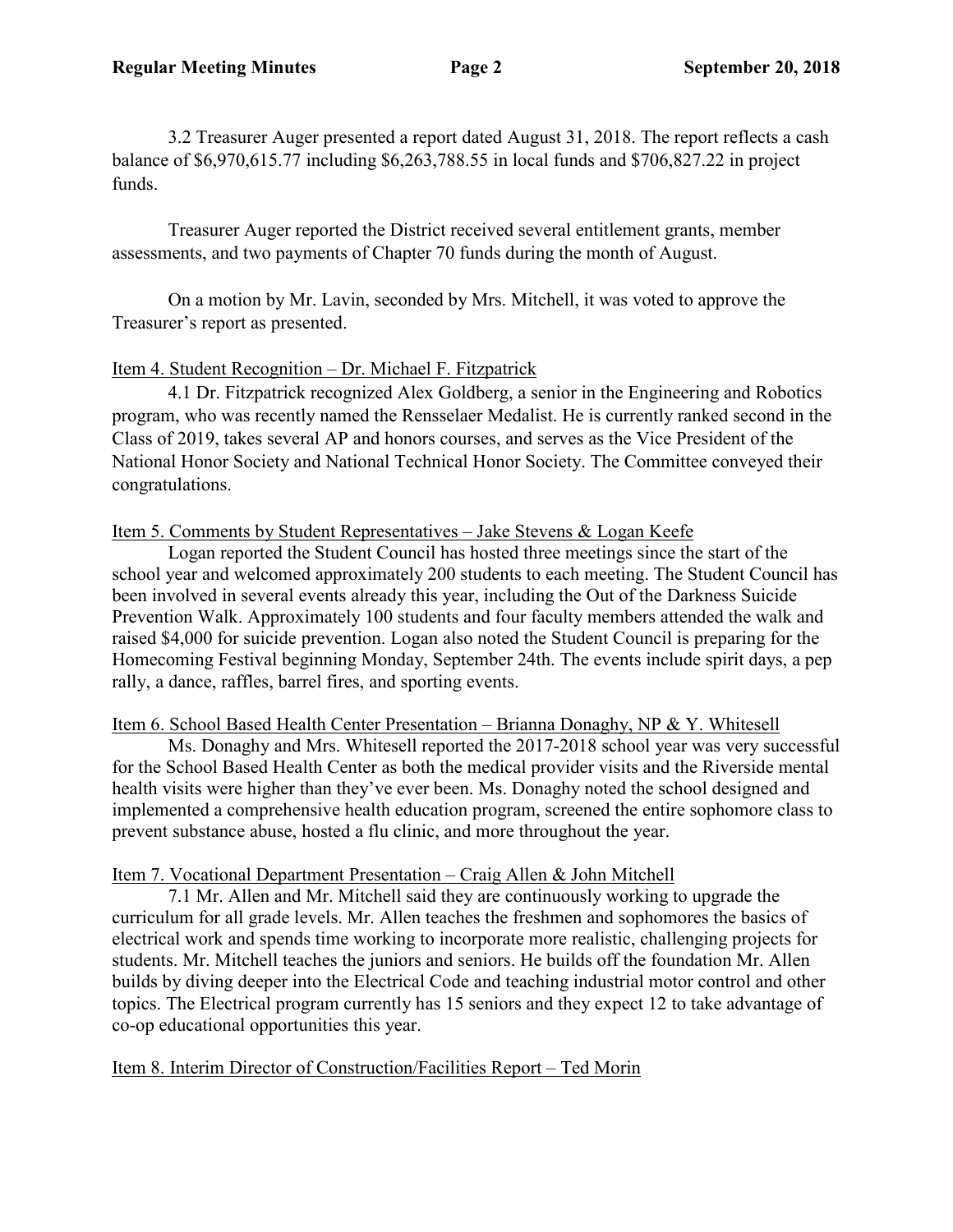3.2 Treasurer Auger presented a report dated August 31, 2018. The report reflects a cash balance of \$6,970,615.77 including \$6,263,788.55 in local funds and \$706,827.22 in project funds.

Treasurer Auger reported the District received several entitlement grants, member assessments, and two payments of Chapter 70 funds during the month of August.

On a motion by Mr. Lavin, seconded by Mrs. Mitchell, it was voted to approve the Treasurer's report as presented.

## Item 4. Student Recognition – Dr. Michael F. Fitzpatrick

4.1 Dr. Fitzpatrick recognized Alex Goldberg, a senior in the Engineering and Robotics program, who was recently named the Rensselaer Medalist. He is currently ranked second in the Class of 2019, takes several AP and honors courses, and serves as the Vice President of the National Honor Society and National Technical Honor Society. The Committee conveyed their congratulations.

## Item 5. Comments by Student Representatives – Jake Stevens & Logan Keefe

Logan reported the Student Council has hosted three meetings since the start of the school year and welcomed approximately 200 students to each meeting. The Student Council has been involved in several events already this year, including the Out of the Darkness Suicide Prevention Walk. Approximately 100 students and four faculty members attended the walk and raised \$4,000 for suicide prevention. Logan also noted the Student Council is preparing for the Homecoming Festival beginning Monday, September 24th. The events include spirit days, a pep rally, a dance, raffles, barrel fires, and sporting events.

## Item 6. School Based Health Center Presentation – Brianna Donaghy, NP & Y. Whitesell

Ms. Donaghy and Mrs. Whitesell reported the 2017-2018 school year was very successful for the School Based Health Center as both the medical provider visits and the Riverside mental health visits were higher than they've ever been. Ms. Donaghy noted the school designed and implemented a comprehensive health education program, screened the entire sophomore class to prevent substance abuse, hosted a flu clinic, and more throughout the year.

## Item 7. Vocational Department Presentation – Craig Allen & John Mitchell

7.1 Mr. Allen and Mr. Mitchell said they are continuously working to upgrade the curriculum for all grade levels. Mr. Allen teaches the freshmen and sophomores the basics of electrical work and spends time working to incorporate more realistic, challenging projects for students. Mr. Mitchell teaches the juniors and seniors. He builds off the foundation Mr. Allen builds by diving deeper into the Electrical Code and teaching industrial motor control and other topics. The Electrical program currently has 15 seniors and they expect 12 to take advantage of co-op educational opportunities this year.

# Item 8. Interim Director of Construction/Facilities Report – Ted Morin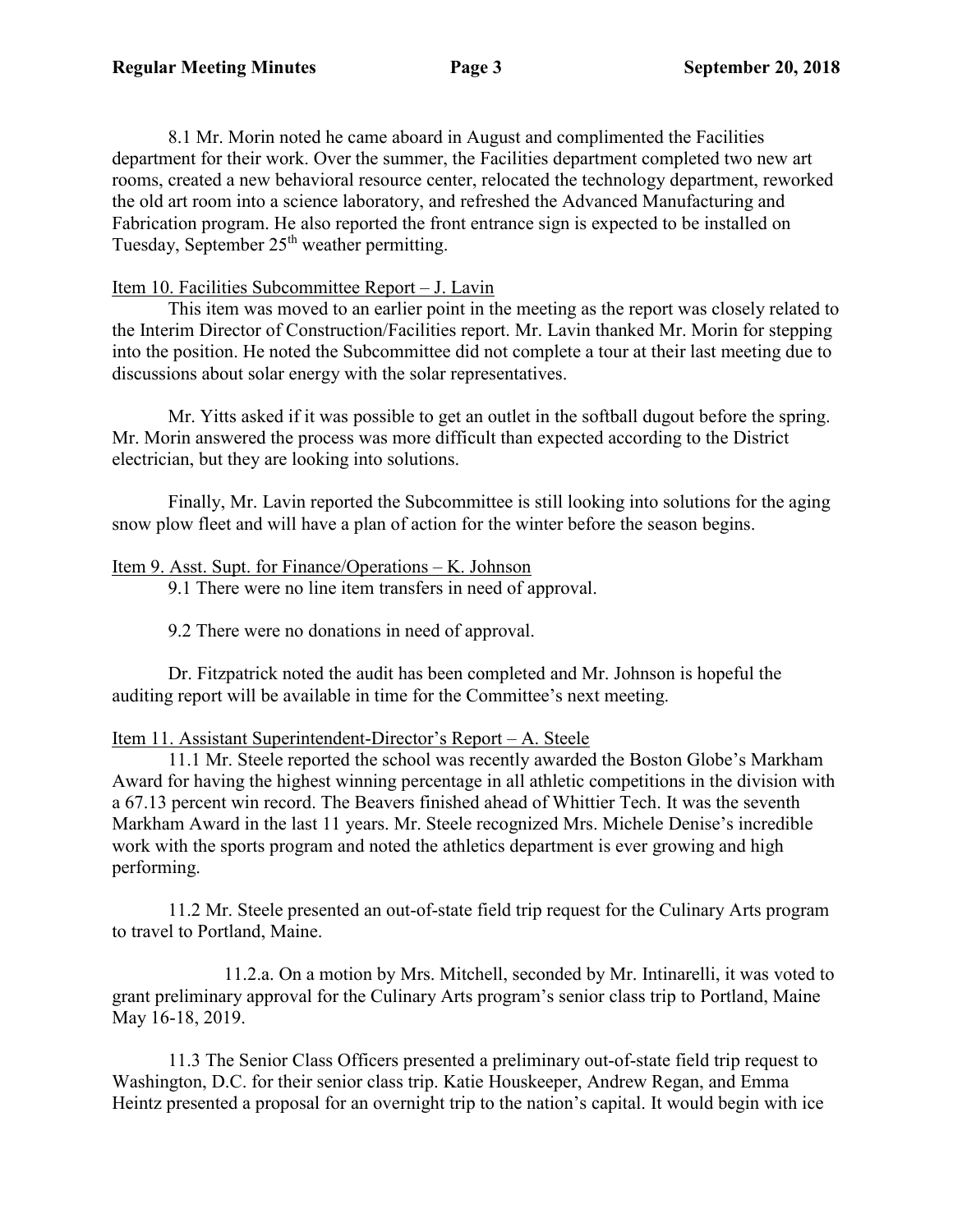8.1 Mr. Morin noted he came aboard in August and complimented the Facilities department for their work. Over the summer, the Facilities department completed two new art rooms, created a new behavioral resource center, relocated the technology department, reworked the old art room into a science laboratory, and refreshed the Advanced Manufacturing and Fabrication program. He also reported the front entrance sign is expected to be installed on Tuesday, September  $25<sup>th</sup>$  weather permitting.

### Item 10. Facilities Subcommittee Report – J. Lavin

This item was moved to an earlier point in the meeting as the report was closely related to the Interim Director of Construction/Facilities report. Mr. Lavin thanked Mr. Morin for stepping into the position. He noted the Subcommittee did not complete a tour at their last meeting due to discussions about solar energy with the solar representatives.

Mr. Yitts asked if it was possible to get an outlet in the softball dugout before the spring. Mr. Morin answered the process was more difficult than expected according to the District electrician, but they are looking into solutions.

Finally, Mr. Lavin reported the Subcommittee is still looking into solutions for the aging snow plow fleet and will have a plan of action for the winter before the season begins.

### Item 9. Asst. Supt. for Finance/Operations – K. Johnson

9.1 There were no line item transfers in need of approval.

9.2 There were no donations in need of approval.

Dr. Fitzpatrick noted the audit has been completed and Mr. Johnson is hopeful the auditing report will be available in time for the Committee's next meeting.

### Item 11. Assistant Superintendent-Director's Report – A. Steele

11.1 Mr. Steele reported the school was recently awarded the Boston Globe's Markham Award for having the highest winning percentage in all athletic competitions in the division with a 67.13 percent win record. The Beavers finished ahead of Whittier Tech. It was the seventh Markham Award in the last 11 years. Mr. Steele recognized Mrs. Michele Denise's incredible work with the sports program and noted the athletics department is ever growing and high performing.

11.2 Mr. Steele presented an out-of-state field trip request for the Culinary Arts program to travel to Portland, Maine.

11.2.a. On a motion by Mrs. Mitchell, seconded by Mr. Intinarelli, it was voted to grant preliminary approval for the Culinary Arts program's senior class trip to Portland, Maine May 16-18, 2019.

11.3 The Senior Class Officers presented a preliminary out-of-state field trip request to Washington, D.C. for their senior class trip. Katie Houskeeper, Andrew Regan, and Emma Heintz presented a proposal for an overnight trip to the nation's capital. It would begin with ice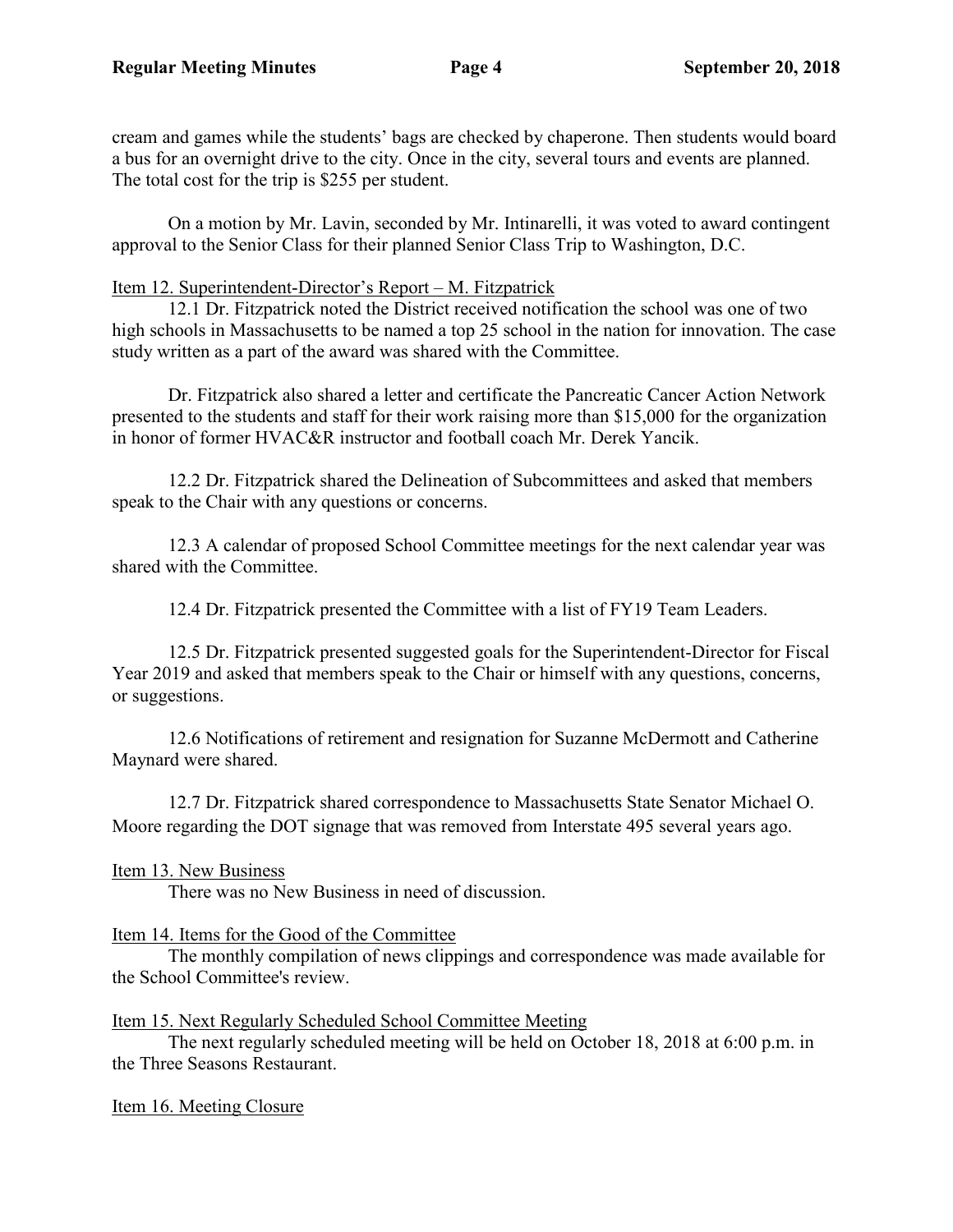cream and games while the students' bags are checked by chaperone. Then students would board a bus for an overnight drive to the city. Once in the city, several tours and events are planned. The total cost for the trip is \$255 per student.

On a motion by Mr. Lavin, seconded by Mr. Intinarelli, it was voted to award contingent approval to the Senior Class for their planned Senior Class Trip to Washington, D.C.

### Item 12. Superintendent-Director's Report – M. Fitzpatrick

12.1 Dr. Fitzpatrick noted the District received notification the school was one of two high schools in Massachusetts to be named a top 25 school in the nation for innovation. The case study written as a part of the award was shared with the Committee.

Dr. Fitzpatrick also shared a letter and certificate the Pancreatic Cancer Action Network presented to the students and staff for their work raising more than \$15,000 for the organization in honor of former HVAC&R instructor and football coach Mr. Derek Yancik.

12.2 Dr. Fitzpatrick shared the Delineation of Subcommittees and asked that members speak to the Chair with any questions or concerns.

12.3 A calendar of proposed School Committee meetings for the next calendar year was shared with the Committee.

12.4 Dr. Fitzpatrick presented the Committee with a list of FY19 Team Leaders.

12.5 Dr. Fitzpatrick presented suggested goals for the Superintendent-Director for Fiscal Year 2019 and asked that members speak to the Chair or himself with any questions, concerns, or suggestions.

12.6 Notifications of retirement and resignation for Suzanne McDermott and Catherine Maynard were shared.

12.7 Dr. Fitzpatrick shared correspondence to Massachusetts State Senator Michael O. Moore regarding the DOT signage that was removed from Interstate 495 several years ago.

Item 13. New Business

There was no New Business in need of discussion.

## Item 14. Items for the Good of the Committee

The monthly compilation of news clippings and correspondence was made available for the School Committee's review.

## Item 15. Next Regularly Scheduled School Committee Meeting

The next regularly scheduled meeting will be held on October 18, 2018 at 6:00 p.m. in the Three Seasons Restaurant.

## Item 16. Meeting Closure